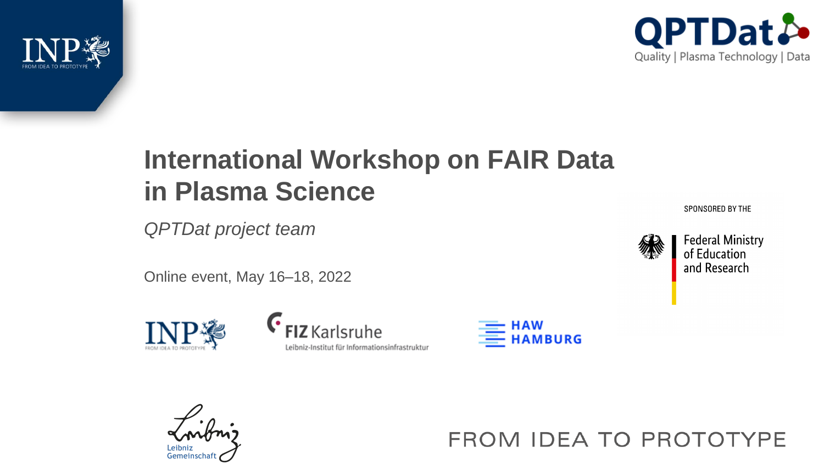



# **International Workshop on FAIR Data in Plasma Science**

*QPTDat project team*

Online event, May 16–18, 2022







FROM IDEA TO PROTOTYPE

SPONSORED BY THE

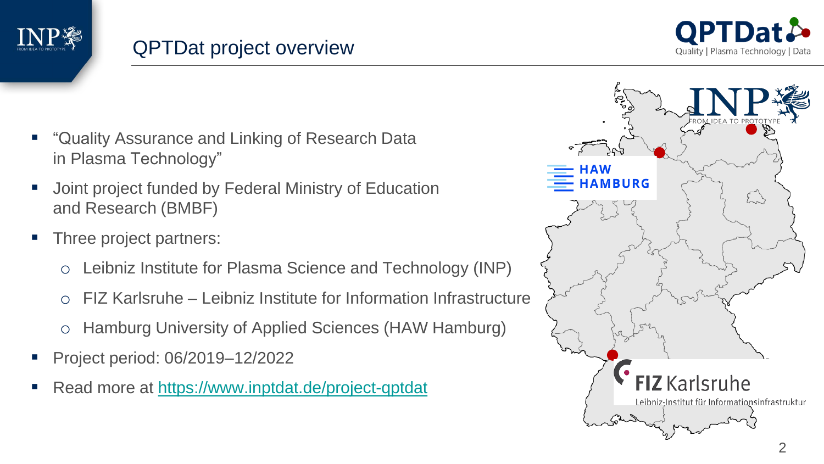



- "Quality Assurance and Linking of Research Data in Plasma Technology"
- Joint project funded by Federal Ministry of Education and Research (BMBF)
- Three project partners:
	- o Leibniz Institute for Plasma Science and Technology (INP)
	- o FIZ Karlsruhe Leibniz Institute for Information Infrastructure
	- o Hamburg University of Applied Sciences (HAW Hamburg)
- Project period: 06/2019–12/2022
- Read more at<https://www.inptdat.de/project-qptdat>

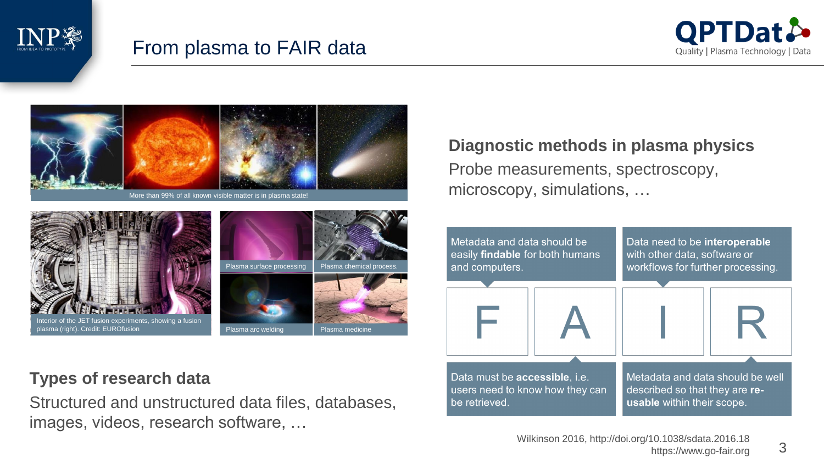

# From plasma to FAIR data



3



#### **Types of research data**

Structured and unstructured data files, databases, images, videos, research software, …

#### **Diagnostic methods in plasma physics** Probe measurements, spectroscopy, microscopy, simulations, …

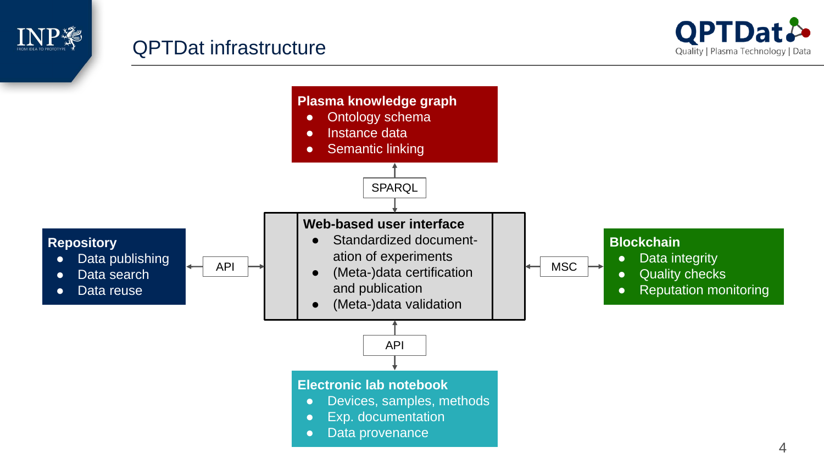

### QPTDat infrastructure